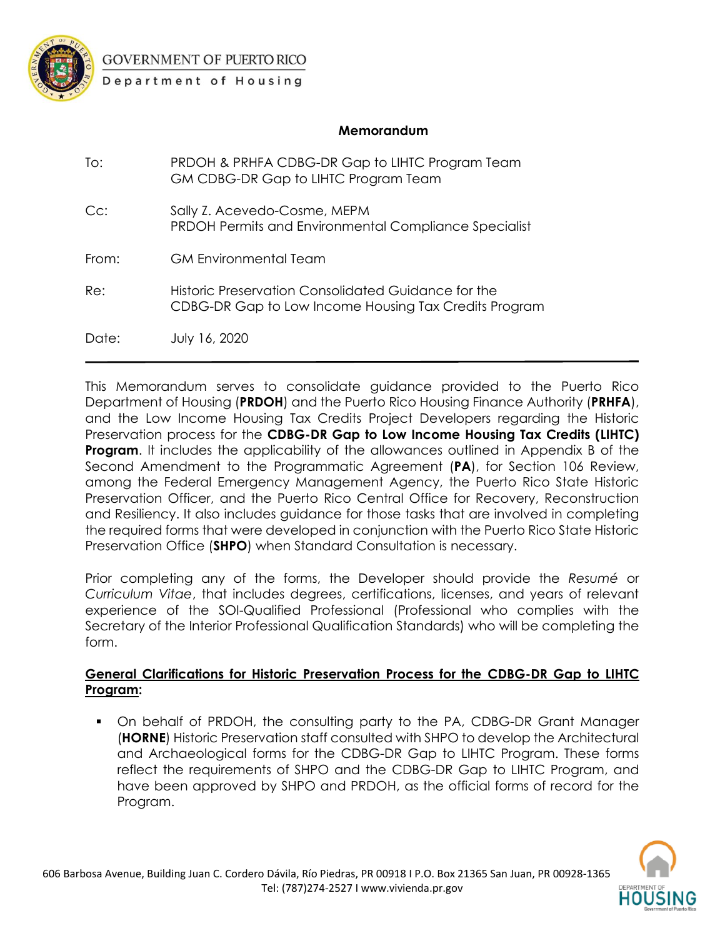

**GOVERNMENT OF PUERTO RICO** 

Department of Housing

### **Memorandum**

| To:    | PRDOH & PRHFA CDBG-DR Gap to LIHTC Program Team<br>GM CDBG-DR Gap to LIHTC Program Team                      |
|--------|--------------------------------------------------------------------------------------------------------------|
| $Cc$ : | Sally Z. Acevedo-Cosme, MEPM<br><b>PRDOH Permits and Environmental Compliance Specialist</b>                 |
| From:  | GM Environmental Team                                                                                        |
| Re:    | Historic Preservation Consolidated Guidance for the<br>CDBG-DR Gap to Low Income Housing Tax Credits Program |
| Date:  | July 16, 2020                                                                                                |

This Memorandum serves to consolidate guidance provided to the Puerto Rico Department of Housing (**PRDOH**) and the Puerto Rico Housing Finance Authority (**PRHFA**), and the Low Income Housing Tax Credits Project Developers regarding the Historic Preservation process for the **CDBG-DR Gap to Low Income Housing Tax Credits (LIHTC) Program.** It includes the applicability of the allowances outlined in Appendix B of the Second Amendment to the Programmatic Agreement (**PA**), for Section 106 Review, among the Federal Emergency Management Agency, the Puerto Rico State Historic Preservation Officer, and the Puerto Rico Central Office for Recovery, Reconstruction and Resiliency. It also includes guidance for those tasks that are involved in completing the required forms that were developed in conjunction with the Puerto Rico State Historic Preservation Office (**SHPO**) when Standard Consultation is necessary.

Prior completing any of the forms, the Developer should provide the *Resumé* or *Curriculum Vitae*, that includes degrees, certifications, licenses, and years of relevant experience of the SOI-Qualified Professional (Professional who complies with the Secretary of the Interior Professional Qualification Standards) who will be completing the form.

## **General Clarifications for Historic Preservation Process for the CDBG-DR Gap to LIHTC Program:**

▪ On behalf of PRDOH, the consulting party to the PA, CDBG-DR Grant Manager (**HORNE**) Historic Preservation staff consulted with SHPO to develop the Architectural and Archaeological forms for the CDBG-DR Gap to LIHTC Program. These forms reflect the requirements of SHPO and the CDBG-DR Gap to LIHTC Program, and have been approved by SHPO and PRDOH, as the official forms of record for the Program.

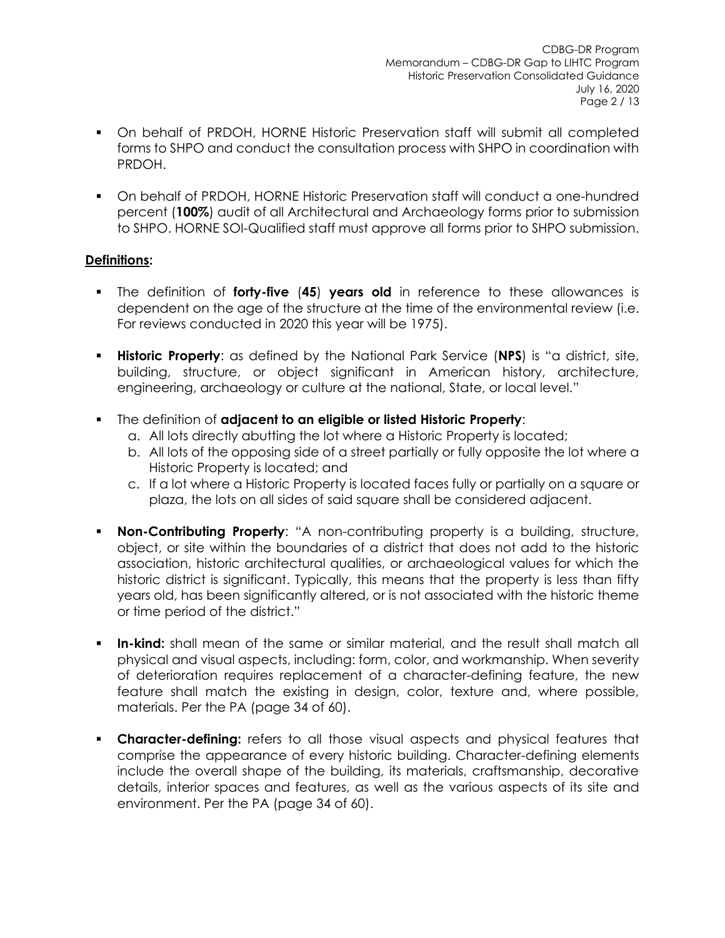- On behalf of PRDOH, HORNE Historic Preservation staff will submit all completed forms to SHPO and conduct the consultation process with SHPO in coordination with PRDOH.
- On behalf of PRDOH, HORNE Historic Preservation staff will conduct a one-hundred percent (**100%**) audit of all Architectural and Archaeology forms prior to submission to SHPO. HORNE SOI-Qualified staff must approve all forms prior to SHPO submission.

# **Definitions:**

- The definition of **forty-five** (**45**) **years old** in reference to these allowances is dependent on the age of the structure at the time of the environmental review (i.e. For reviews conducted in 2020 this year will be 1975).
- **Historic Property**: as defined by the National Park Service (NPS) is "a district, site, building, structure, or object significant in American history, architecture, engineering, archaeology or culture at the national, State, or local level."
- The definition of **adjacent to an eligible or listed Historic Property**:
	- a. All lots directly abutting the lot where a Historic Property is located;
	- b. All lots of the opposing side of a street partially or fully opposite the lot where a Historic Property is located; and
	- c. If a lot where a Historic Property is located faces fully or partially on a square or plaza, the lots on all sides of said square shall be considered adjacent.
- **Non-Contributing Property:** "A non-contributing property is a building, structure, object, or site within the boundaries of a district that does not add to the historic association, historic architectural qualities, or archaeological values for which the historic district is significant. Typically, this means that the property is less than fifty years old, has been significantly altered, or is not associated with the historic theme or time period of the district."
- **In-kind:** shall mean of the same or similar material, and the result shall match all physical and visual aspects, including: form, color, and workmanship. When severity of deterioration requires replacement of a character-defining feature, the new feature shall match the existing in design, color, texture and, where possible, materials. Per the PA (page 34 of 60).
- **Character-defining:** refers to all those visual aspects and physical features that comprise the appearance of every historic building. Character-defining elements include the overall shape of the building, its materials, craftsmanship, decorative details, interior spaces and features, as well as the various aspects of its site and environment. Per the PA (page 34 of 60).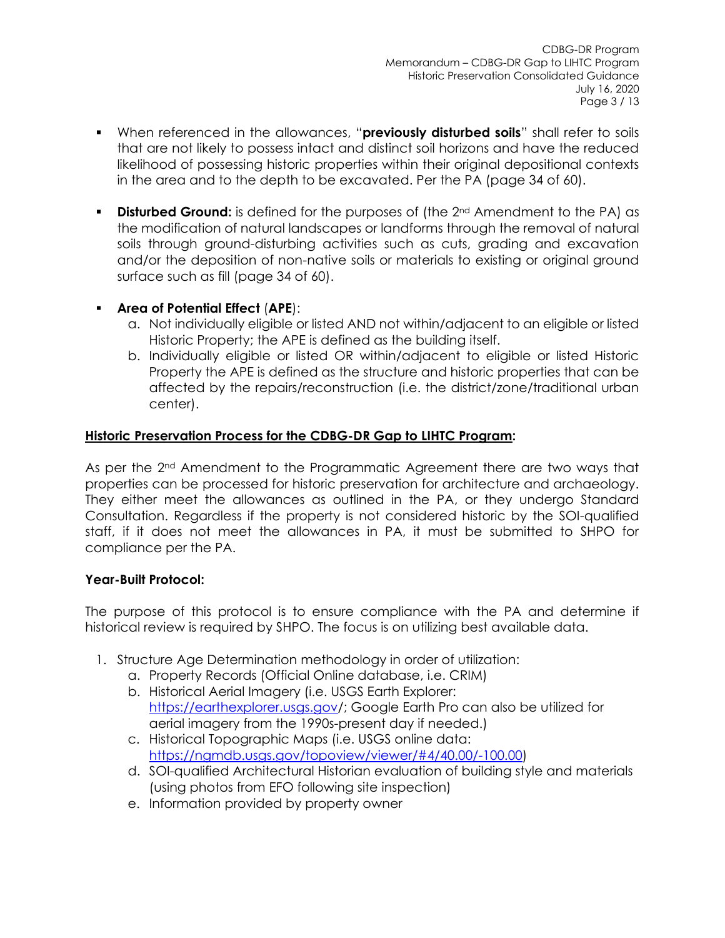- When referenced in the allowances, "**previously disturbed soils**" shall refer to soils that are not likely to possess intact and distinct soil horizons and have the reduced likelihood of possessing historic properties within their original depositional contexts in the area and to the depth to be excavated. Per the PA (page 34 of 60).
- **Disturbed Ground:** is defined for the purposes of (the 2<sup>nd</sup> Amendment to the PA) as the modification of natural landscapes or landforms through the removal of natural soils through ground-disturbing activities such as cuts, grading and excavation and/or the deposition of non-native soils or materials to existing or original ground surface such as fill (page 34 of 60).

# ▪ **Area of Potential Effect** (**APE**):

- a. Not individually eligible or listed AND not within/adjacent to an eligible or listed Historic Property; the APE is defined as the building itself.
- b. Individually eligible or listed OR within/adjacent to eligible or listed Historic Property the APE is defined as the structure and historic properties that can be affected by the repairs/reconstruction (i.e. the district/zone/traditional urban center).

## **Historic Preservation Process for the CDBG-DR Gap to LIHTC Program:**

As per the 2<sup>nd</sup> Amendment to the Programmatic Agreement there are two ways that properties can be processed for historic preservation for architecture and archaeology. They either meet the allowances as outlined in the PA, or they undergo Standard Consultation. Regardless if the property is not considered historic by the SOI-qualified staff, if it does not meet the allowances in PA, it must be submitted to SHPO for compliance per the PA.

## **Year-Built Protocol:**

The purpose of this protocol is to ensure compliance with the PA and determine if historical review is required by SHPO. The focus is on utilizing best available data.

- 1. Structure Age Determination methodology in order of utilization:
	- a. Property Records (Official Online database, i.e. CRIM)
	- b. Historical Aerial Imagery (i.e. USGS Earth Explorer: <https://earthexplorer.usgs.gov/>; Google Earth Pro can also be utilized for aerial imagery from the 1990s-present day if needed.)
	- c. Historical Topographic Maps (i.e. USGS online data: [https://ngmdb.usgs.gov/topoview/viewer/#4/40.00/-100.00\)](https://ngmdb.usgs.gov/topoview/viewer/#4/40.00/-100.00)
	- d. SOI-qualified Architectural Historian evaluation of building style and materials (using photos from EFO following site inspection)
	- e. Information provided by property owner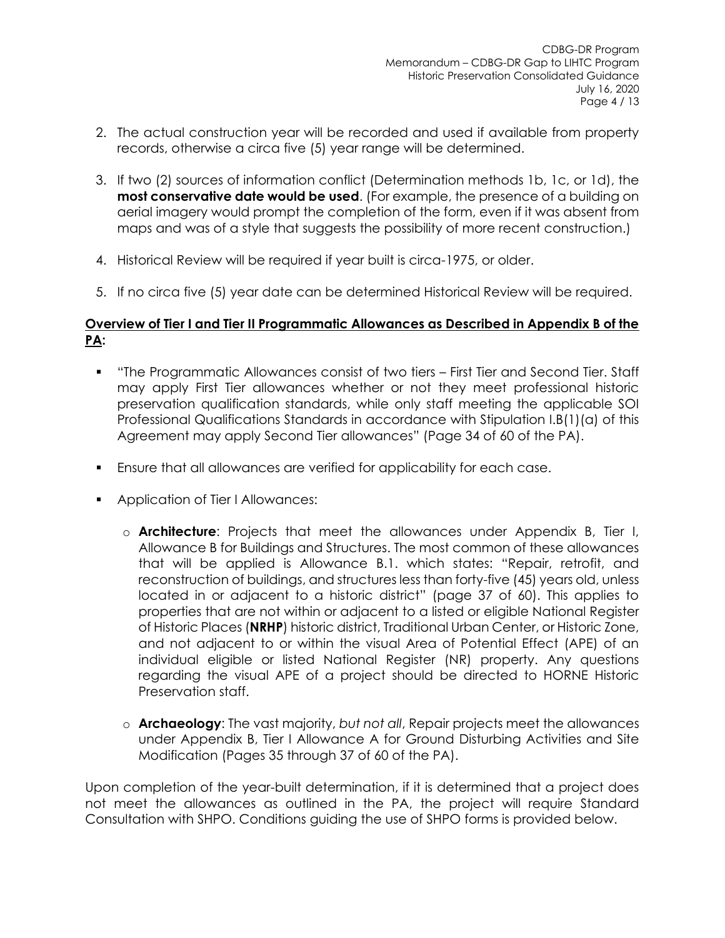- 2. The actual construction year will be recorded and used if available from property records, otherwise a circa five (5) year range will be determined.
- 3. If two (2) sources of information conflict (Determination methods 1b, 1c, or 1d), the **most conservative date would be used**. (For example, the presence of a building on aerial imagery would prompt the completion of the form, even if it was absent from maps and was of a style that suggests the possibility of more recent construction.)
- 4. Historical Review will be required if year built is circa-1975, or older.
- 5. If no circa five (5) year date can be determined Historical Review will be required.

### **Overview of Tier I and Tier II Programmatic Allowances as Described in Appendix B of the PA:**

- "The Programmatic Allowances consist of two tiers First Tier and Second Tier. Staff may apply First Tier allowances whether or not they meet professional historic preservation qualification standards, while only staff meeting the applicable SOI Professional Qualifications Standards in accordance with Stipulation I.B(1)(a) of this Agreement may apply Second Tier allowances" (Page 34 of 60 of the PA).
- Ensure that all allowances are verified for applicability for each case.
- Application of Tier I Allowances:
	- o **Architecture**: Projects that meet the allowances under Appendix B, Tier I, Allowance B for Buildings and Structures. The most common of these allowances that will be applied is Allowance B.1. which states: "Repair, retrofit, and reconstruction of buildings, and structures less than forty-five (45) years old, unless located in or adjacent to a historic district" (page 37 of 60). This applies to properties that are not within or adjacent to a listed or eligible National Register of Historic Places (**NRHP**) historic district, Traditional Urban Center, or Historic Zone, and not adjacent to or within the visual Area of Potential Effect (APE) of an individual eligible or listed National Register (NR) property. Any questions regarding the visual APE of a project should be directed to HORNE Historic Preservation staff.
	- o **Archaeology**: The vast majority, *but not all*, Repair projects meet the allowances under Appendix B, Tier I Allowance A for Ground Disturbing Activities and Site Modification (Pages 35 through 37 of 60 of the PA).

Upon completion of the year-built determination, if it is determined that a project does not meet the allowances as outlined in the PA, the project will require Standard Consultation with SHPO. Conditions guiding the use of SHPO forms is provided below.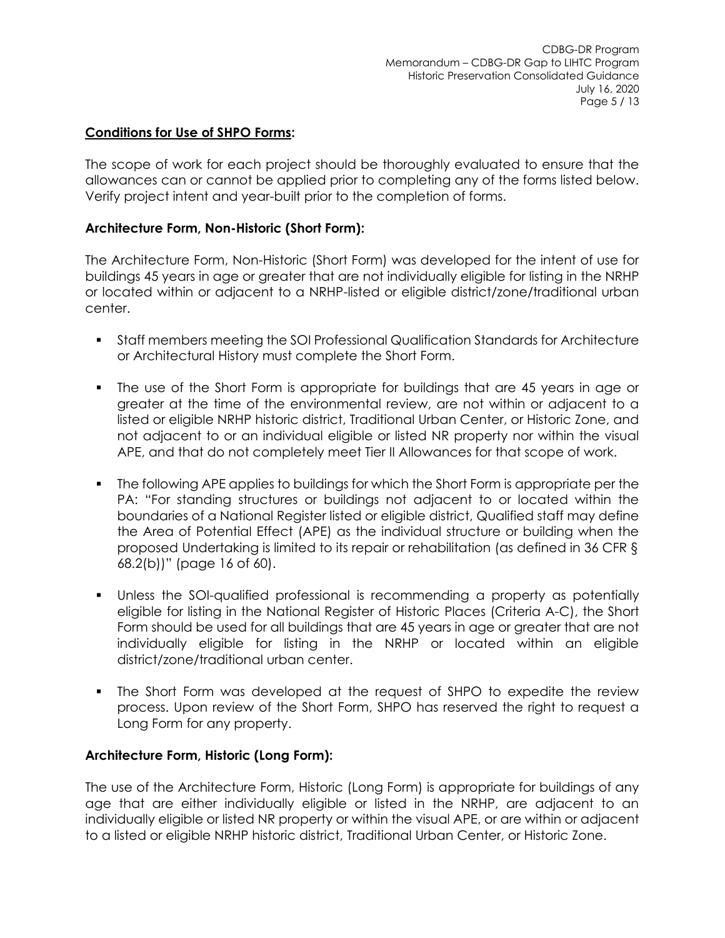### **Conditions for Use of SHPO Forms:**

The scope of work for each project should be thoroughly evaluated to ensure that the allowances can or cannot be applied prior to completing any of the forms listed below. Verify project intent and year-built prior to the completion of forms.

### **Architecture Form, Non-Historic (Short Form):**

The Architecture Form, Non-Historic (Short Form) was developed for the intent of use for buildings 45 years in age or greater that are not individually eligible for listing in the NRHP or located within or adjacent to a NRHP-listed or eligible district/zone/traditional urban center.

- Staff members meeting the SOI Professional Qualification Standards for Architecture or Architectural History must complete the Short Form.
- The use of the Short Form is appropriate for buildings that are 45 years in age or greater at the time of the environmental review, are not within or adjacent to a listed or eligible NRHP historic district, Traditional Urban Center, or Historic Zone, and not adjacent to or an individual eligible or listed NR property nor within the visual APE, and that do not completely meet Tier II Allowances for that scope of work.
- **•** The following APE applies to buildings for which the Short Form is appropriate per the PA: "For standing structures or buildings not adjacent to or located within the boundaries of a National Register listed or eligible district, Qualified staff may define the Area of Potential Effect (APE) as the individual structure or building when the proposed Undertaking is limited to its repair or rehabilitation (as defined in 36 CFR § 68.2(b))" (page 16 of 60).
- Unless the SOI-qualified professional is recommending a property as potentially eligible for listing in the National Register of Historic Places (Criteria A-C), the Short Form should be used for all buildings that are 45 years in age or greater that are not individually eligible for listing in the NRHP or located within an eligible district/zone/traditional urban center.
- The Short Form was developed at the request of SHPO to expedite the review process. Upon review of the Short Form, SHPO has reserved the right to request a Long Form for any property.

#### **Architecture Form, Historic (Long Form):**

The use of the Architecture Form, Historic (Long Form) is appropriate for buildings of any age that are either individually eligible or listed in the NRHP, are adjacent to an individually eligible or listed NR property or within the visual APE, or are within or adjacent to a listed or eligible NRHP historic district, Traditional Urban Center, or Historic Zone.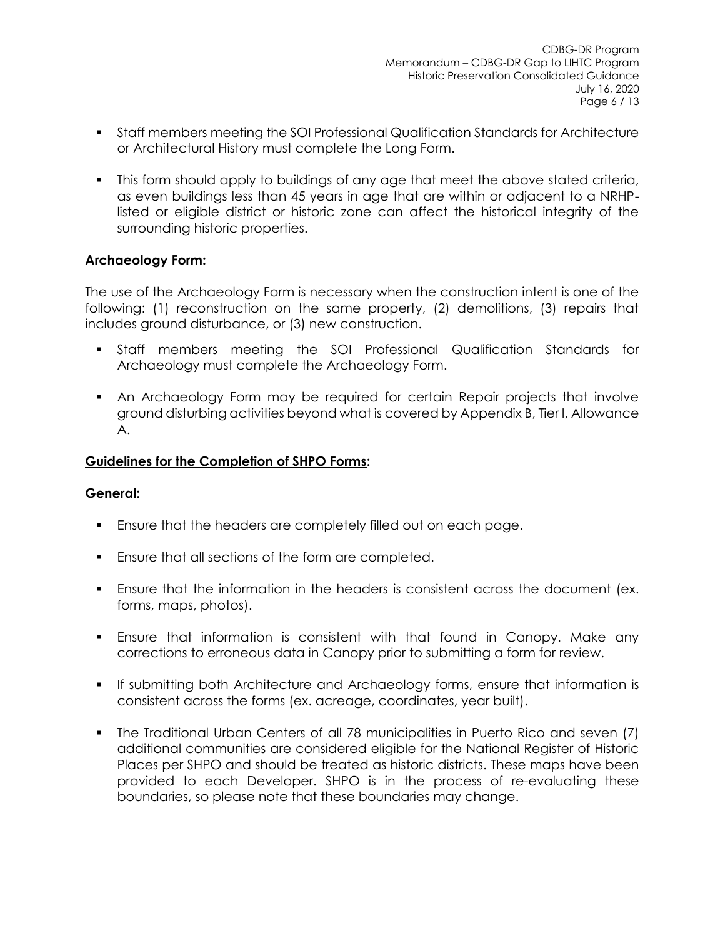- Staff members meeting the SOI Professional Qualification Standards for Architecture or Architectural History must complete the Long Form.
- This form should apply to buildings of any age that meet the above stated criteria, as even buildings less than 45 years in age that are within or adjacent to a NRHPlisted or eligible district or historic zone can affect the historical integrity of the surrounding historic properties.

### **Archaeology Form:**

The use of the Archaeology Form is necessary when the construction intent is one of the following: (1) reconstruction on the same property, (2) demolitions, (3) repairs that includes ground disturbance, or (3) new construction.

- Staff members meeting the SOI Professional Qualification Standards for Archaeology must complete the Archaeology Form.
- An Archaeology Form may be required for certain Repair projects that involve ground disturbing activities beyond what is covered by Appendix B, Tier I, Allowance A.

#### **Guidelines for the Completion of SHPO Forms:**

#### **General:**

- Ensure that the headers are completely filled out on each page.
- Ensure that all sections of the form are completed.
- **Ensure that the information in the headers is consistent across the document (ex.** forms, maps, photos).
- **•** Ensure that information is consistent with that found in Canopy. Make any corrections to erroneous data in Canopy prior to submitting a form for review.
- If submitting both Architecture and Archaeology forms, ensure that information is consistent across the forms (ex. acreage, coordinates, year built).
- The Traditional Urban Centers of all 78 municipalities in Puerto Rico and seven (7) additional communities are considered eligible for the National Register of Historic Places per SHPO and should be treated as historic districts. These maps have been provided to each Developer. SHPO is in the process of re-evaluating these boundaries, so please note that these boundaries may change.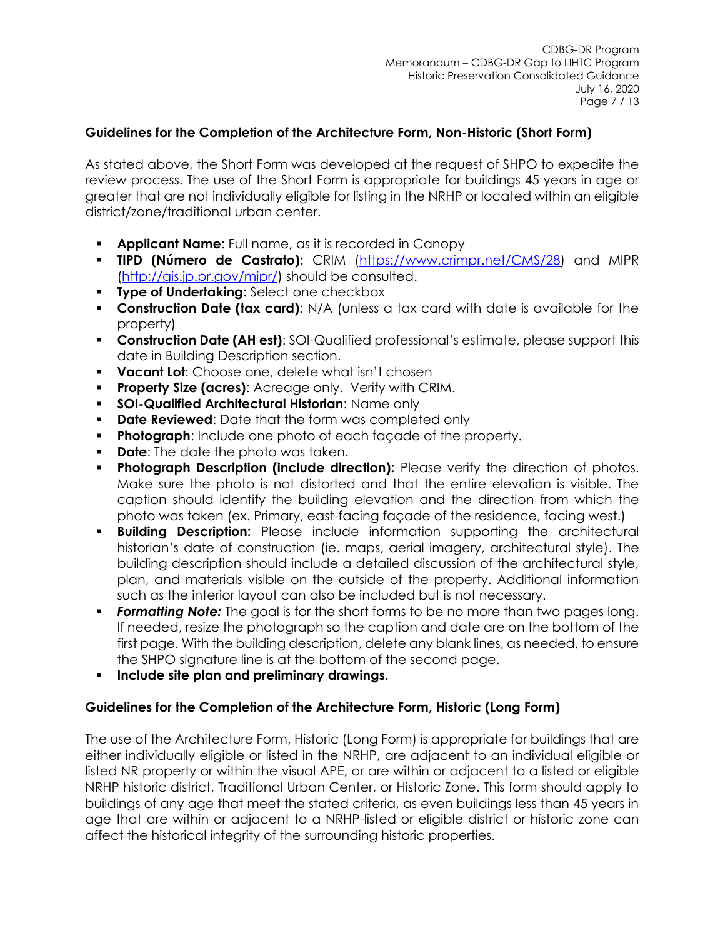### **Guidelines for the Completion of the Architecture Form, Non-Historic (Short Form)**

As stated above, the Short Form was developed at the request of SHPO to expedite the review process. The use of the Short Form is appropriate for buildings 45 years in age or greater that are not individually eligible for listing in the NRHP or located within an eligible district/zone/traditional urban center.

- **Applicant Name:** Full name, as it is recorded in Canopy
- **TIPD (Número de Castrato):** CRIM [\(https://www.crimpr.net/CMS/28\)](https://www.crimpr.net/CMS/28) and MIPR [\(http://gis.jp.pr.gov/mipr/\)](http://gis.jp.pr.gov/mipr/) should be consulted.
- **Type of Undertaking: Select one checkbox**
- **Construction Date (tax card)**: N/A (unless a tax card with date is available for the property)
- **Construction Date (AH est)**: SOI-Qualified professional's estimate, please support this date in Building Description section.
- **Vacant Lot**: Choose one, delete what isn't chosen
- Property Size (acres): Acreage only. Verify with CRIM.
- **SOI-Qualified Architectural Historian: Name only**
- **Date Reviewed:** Date that the form was completed only
- **Photograph:** Include one photo of each façade of the property.
- **Date:** The date the photo was taken.
- **Photograph Description (include direction):** Please verify the direction of photos. Make sure the photo is not distorted and that the entire elevation is visible. The caption should identify the building elevation and the direction from which the photo was taken (ex. Primary, east-facing façade of the residence, facing west.)
- **Building Description:** Please include information supporting the architectural historian's date of construction (ie. maps, aerial imagery, architectural style). The building description should include a detailed discussion of the architectural style, plan, and materials visible on the outside of the property. Additional information such as the interior layout can also be included but is not necessary.
- **Formatting Note:** The goal is for the short forms to be no more than two pages long. If needed, resize the photograph so the caption and date are on the bottom of the first page. With the building description, delete any blank lines, as needed, to ensure the SHPO signature line is at the bottom of the second page.
- **Include site plan and preliminary drawings.**

#### **Guidelines for the Completion of the Architecture Form, Historic (Long Form)**

The use of the Architecture Form, Historic (Long Form) is appropriate for buildings that are either individually eligible or listed in the NRHP, are adjacent to an individual eligible or listed NR property or within the visual APE, or are within or adjacent to a listed or eligible NRHP historic district, Traditional Urban Center, or Historic Zone. This form should apply to buildings of any age that meet the stated criteria, as even buildings less than 45 years in age that are within or adjacent to a NRHP-listed or eligible district or historic zone can affect the historical integrity of the surrounding historic properties.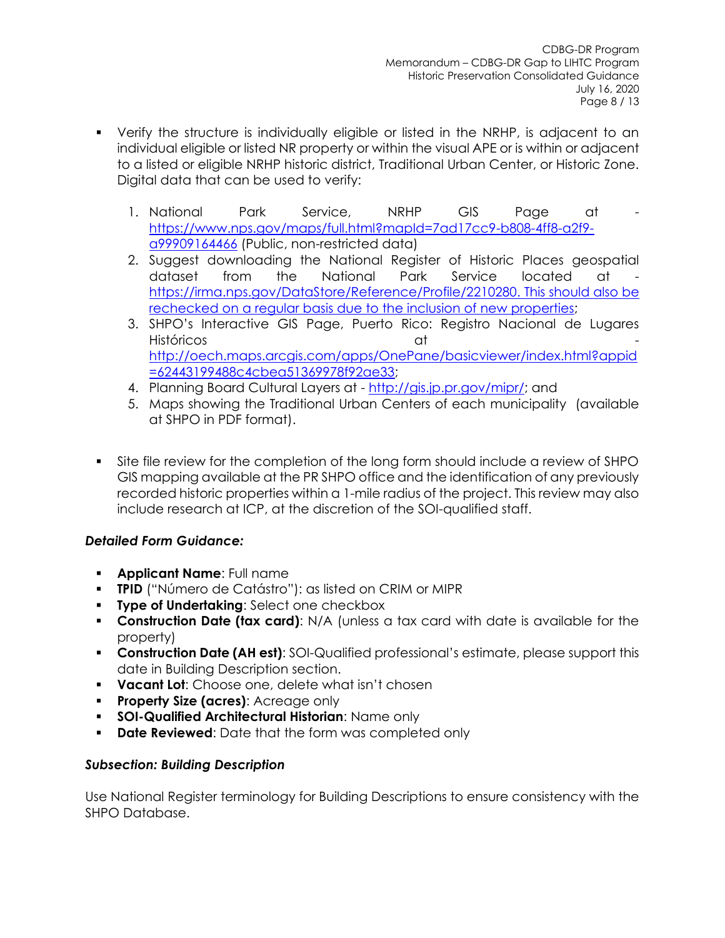- Verify the structure is individually eligible or listed in the NRHP, is adjacent to an individual eligible or listed NR property or within the visual APE or is within or adjacent to a listed or eligible NRHP historic district, Traditional Urban Center, or Historic Zone. Digital data that can be used to verify:
	- 1. National Park Service, NRHP GIS Page at [https://www.nps.gov/maps/full.html?mapId=7ad17cc9-b808-4ff8-a2f9](https://www.nps.gov/maps/full.html?mapId=7ad17cc9-b808-4ff8-a2f9-a99909164466) [a99909164466](https://www.nps.gov/maps/full.html?mapId=7ad17cc9-b808-4ff8-a2f9-a99909164466) (Public, non-restricted data)
	- 2. Suggest downloading the National Register of Historic Places geospatial dataset from the National Park Service located at [https://irma.nps.gov/DataStore/Reference/Profile/2210280.](https://irma.nps.gov/DataStore/Reference/Profile/2210280) This should also be rechecked on a regular basis due to the inclusion of new properties;
	- 3. SHPO's Interactive GIS Page, Puerto Rico: Registro Nacional de Lugares Históricos at [http://oech.maps.arcgis.com/apps/OnePane/basicviewer/index.html?appid](http://oech.maps.arcgis.com/apps/OnePane/basicviewer/index.html?appid=62443199488c4cbea51369978f92ae33) [=62443199488c4cbea51369978f92ae33;](http://oech.maps.arcgis.com/apps/OnePane/basicviewer/index.html?appid=62443199488c4cbea51369978f92ae33)
	- 4. Planning Board Cultural Layers at [http://gis.jp.pr.gov/mipr/;](http://gis.jp.pr.gov/mipr/) and
	- 5. Maps showing the Traditional Urban Centers of each municipality (available at SHPO in PDF format).
- Site file review for the completion of the long form should include a review of SHPO GIS mapping available at the PR SHPO office and the identification of any previously recorded historic properties within a 1-mile radius of the project. This review may also include research at ICP, at the discretion of the SOI-qualified staff.

# *Detailed Form Guidance:*

- **Applicant Name**: Full name
- **TPID** ("Número de Catástro"): as listed on CRIM or MIPR
- **Type of Undertaking: Select one checkbox**
- **Construction Date (tax card)**: N/A (unless a tax card with date is available for the property)
- **Construction Date (AH est)**: SOI-Qualified professional's estimate, please support this date in Building Description section.
- **Vacant Lot**: Choose one, delete what isn't chosen
- Property Size (acres): Acreage only
- **SOI-Qualified Architectural Historian: Name only**
- **Date Reviewed:** Date that the form was completed only

## *Subsection: Building Description*

Use National Register terminology for Building Descriptions to ensure consistency with the SHPO Database.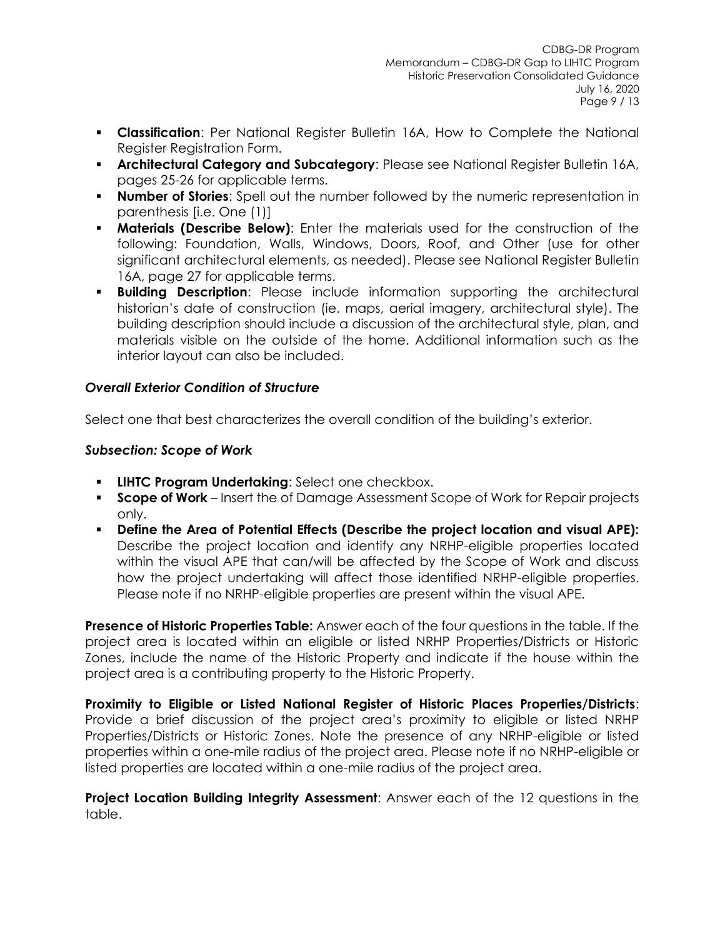- **Classification**: Per National Register Bulletin 16A, How to Complete the National Register Registration Form.
- **Architectural Category and Subcategory: Please see National Register Bulletin 16A,** pages 25-26 for applicable terms.
- **Number of Stories:** Spell out the number followed by the numeric representation in parenthesis [i.e. One (1)]
- **Materials (Describe Below)**: Enter the materials used for the construction of the following: Foundation, Walls, Windows, Doors, Roof, and Other (use for other significant architectural elements, as needed). Please see National Register Bulletin 16A, page 27 for applicable terms.
- **Building Description**: Please include information supporting the architectural historian's date of construction (ie. maps, aerial imagery, architectural style). The building description should include a discussion of the architectural style, plan, and materials visible on the outside of the home. Additional information such as the interior layout can also be included.

## *Overall Exterior Condition of Structure*

Select one that best characterizes the overall condition of the building's exterior.

### *Subsection: Scope of Work*

- **LIHTC Program Undertaking**: Select one checkbox.
- **Scope of Work** Insert the of Damage Assessment Scope of Work for Repair projects only.
- **Define the Area of Potential Effects (Describe the project location and visual APE):** Describe the project location and identify any NRHP-eligible properties located within the visual APE that can/will be affected by the Scope of Work and discuss how the project undertaking will affect those identified NRHP-eligible properties. Please note if no NRHP-eligible properties are present within the visual APE.

**Presence of Historic Properties Table:** Answer each of the four questions in the table. If the project area is located within an eligible or listed NRHP Properties/Districts or Historic Zones, include the name of the Historic Property and indicate if the house within the project area is a contributing property to the Historic Property.

**Proximity to Eligible or Listed National Register of Historic Places Properties/Districts**: Provide a brief discussion of the project area's proximity to eligible or listed NRHP Properties/Districts or Historic Zones. Note the presence of any NRHP-eligible or listed properties within a one-mile radius of the project area. Please note if no NRHP-eligible or listed properties are located within a one-mile radius of the project area.

**Project Location Building Integrity Assessment**: Answer each of the 12 questions in the table.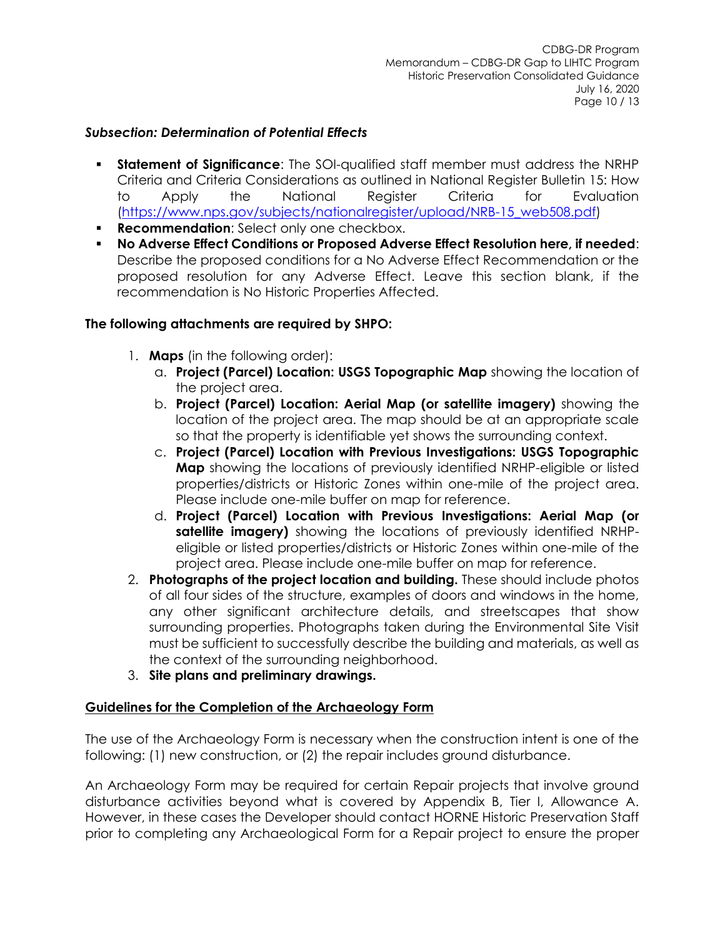### *Subsection: Determination of Potential Effects*

- **Statement of Significance:** The SOI-qualified staff member must address the NRHP Criteria and Criteria Considerations as outlined in National Register Bulletin 15: How to Apply the National Register Criteria for Evaluation [\(https://www.nps.gov/subjects/nationalregister/upload/NRB-15\\_web508.pdf\)](https://www.nps.gov/subjects/nationalregister/upload/NRB-15_web508.pdf)
- **Recommendation:** Select only one checkbox.
- **No Adverse Effect Conditions or Proposed Adverse Effect Resolution here, if needed**: Describe the proposed conditions for a No Adverse Effect Recommendation or the proposed resolution for any Adverse Effect. Leave this section blank, if the recommendation is No Historic Properties Affected.

### **The following attachments are required by SHPO:**

- 1. **Maps** (in the following order):
	- a. **Project (Parcel) Location: USGS Topographic Map** showing the location of the project area.
	- b. **Project (Parcel) Location: Aerial Map (or satellite imagery)** showing the location of the project area. The map should be at an appropriate scale so that the property is identifiable yet shows the surrounding context.
	- c. **Project (Parcel) Location with Previous Investigations: USGS Topographic Map** showing the locations of previously identified NRHP-eligible or listed properties/districts or Historic Zones within one-mile of the project area. Please include one-mile buffer on map for reference.
	- d. **Project (Parcel) Location with Previous Investigations: Aerial Map (or satellite imagery)** showing the locations of previously identified NRHPeligible or listed properties/districts or Historic Zones within one-mile of the project area. Please include one-mile buffer on map for reference.
- 2. **Photographs of the project location and building.** These should include photos of all four sides of the structure, examples of doors and windows in the home, any other significant architecture details, and streetscapes that show surrounding properties. Photographs taken during the Environmental Site Visit must be sufficient to successfully describe the building and materials, as well as the context of the surrounding neighborhood.
- 3. **Site plans and preliminary drawings.**

#### **Guidelines for the Completion of the Archaeology Form**

The use of the Archaeology Form is necessary when the construction intent is one of the following: (1) new construction, or (2) the repair includes ground disturbance.

An Archaeology Form may be required for certain Repair projects that involve ground disturbance activities beyond what is covered by Appendix B, Tier I, Allowance A. However, in these cases the Developer should contact HORNE Historic Preservation Staff prior to completing any Archaeological Form for a Repair project to ensure the proper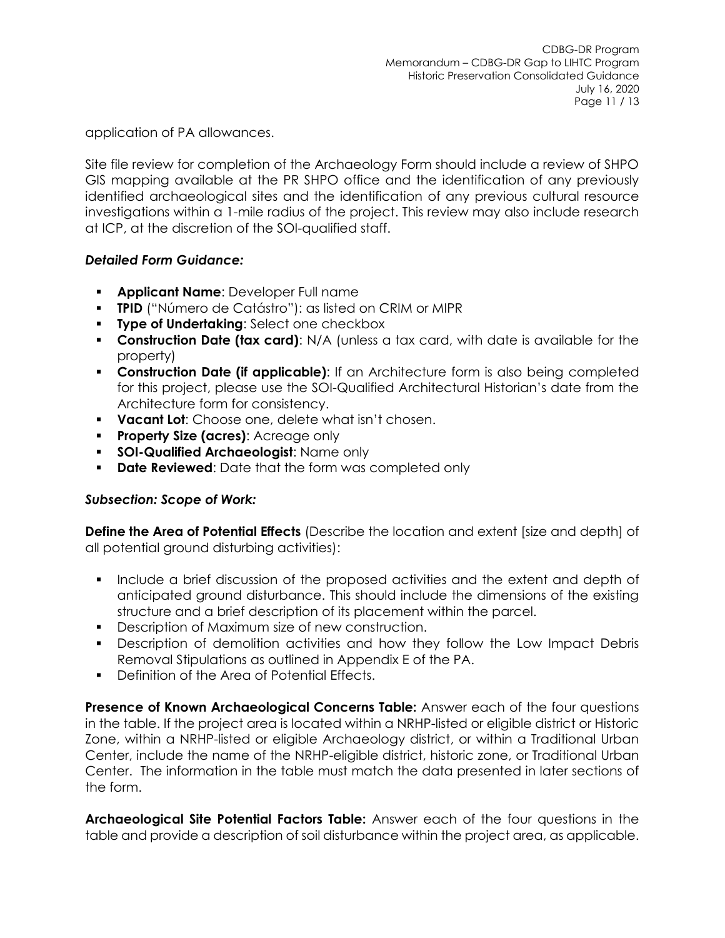application of PA allowances.

Site file review for completion of the Archaeology Form should include a review of SHPO GIS mapping available at the PR SHPO office and the identification of any previously identified archaeological sites and the identification of any previous cultural resource investigations within a 1-mile radius of the project. This review may also include research at ICP, at the discretion of the SOI-qualified staff.

## *Detailed Form Guidance:*

- **Applicant Name**: Developer Full name
- **TPID** ("Número de Catástro"): as listed on CRIM or MIPR
- **Type of Undertaking**: Select one checkbox
- **Construction Date (tax card)**: N/A (unless a tax card, with date is available for the property)
- **EXECONSTRUCTION Date (if applicable):** If an Architecture form is also being completed for this project, please use the SOI-Qualified Architectural Historian's date from the Architecture form for consistency.
- **Vacant Lot**: Choose one, delete what isn't chosen.
- **Property Size (acres)**: Acreage only
- **SOI-Qualified Archaeologist**: Name only
- **Date Reviewed:** Date that the form was completed only

## *Subsection: Scope of Work:*

**Define the Area of Potential Effects** (Describe the location and extent [size and depth] of all potential ground disturbing activities):

- Include a brief discussion of the proposed activities and the extent and depth of anticipated ground disturbance. This should include the dimensions of the existing structure and a brief description of its placement within the parcel.
- Description of Maximum size of new construction.
- Description of demolition activities and how they follow the Low Impact Debris Removal Stipulations as outlined in Appendix E of the PA.
- Definition of the Area of Potential Effects.

**Presence of Known Archaeological Concerns Table:** Answer each of the four questions in the table. If the project area is located within a NRHP-listed or eligible district or Historic Zone, within a NRHP-listed or eligible Archaeology district, or within a Traditional Urban Center, include the name of the NRHP-eligible district, historic zone, or Traditional Urban Center. The information in the table must match the data presented in later sections of the form.

**Archaeological Site Potential Factors Table:** Answer each of the four questions in the table and provide a description of soil disturbance within the project area, as applicable.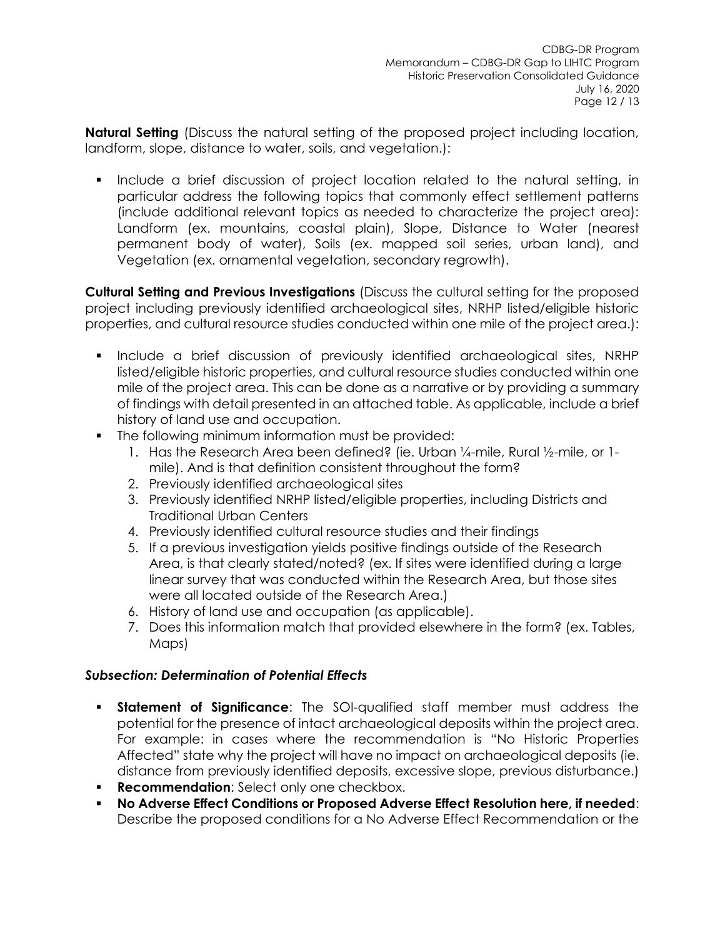**Natural Setting** (Discuss the natural setting of the proposed project including location, landform, slope, distance to water, soils, and vegetation.):

Include a brief discussion of project location related to the natural setting, in particular address the following topics that commonly effect settlement patterns (include additional relevant topics as needed to characterize the project area): Landform (ex. mountains, coastal plain), Slope, Distance to Water (nearest permanent body of water), Soils (ex. mapped soil series, urban land), and Vegetation (ex. ornamental vegetation, secondary regrowth).

**Cultural Setting and Previous Investigations** (Discuss the cultural setting for the proposed project including previously identified archaeological sites, NRHP listed/eligible historic properties, and cultural resource studies conducted within one mile of the project area.):

- Include a brief discussion of previously identified archaeological sites, NRHP listed/eligible historic properties, and cultural resource studies conducted within one mile of the project area. This can be done as a narrative or by providing a summary of findings with detail presented in an attached table. As applicable, include a brief history of land use and occupation.
- The following minimum information must be provided:
	- 1. Has the Research Area been defined? (ie. Urban ¼-mile, Rural ½-mile, or 1 mile). And is that definition consistent throughout the form?
	- 2. Previously identified archaeological sites
	- 3. Previously identified NRHP listed/eligible properties, including Districts and Traditional Urban Centers
	- 4. Previously identified cultural resource studies and their findings
	- 5. If a previous investigation yields positive findings outside of the Research Area, is that clearly stated/noted? (ex. If sites were identified during a large linear survey that was conducted within the Research Area, but those sites were all located outside of the Research Area.)
	- 6. History of land use and occupation (as applicable).
	- 7. Does this information match that provided elsewhere in the form? (ex. Tables, Maps)

## *Subsection: Determination of Potential Effects*

- **Statement of Significance**: The SOI-qualified staff member must address the potential for the presence of intact archaeological deposits within the project area. For example: in cases where the recommendation is "No Historic Properties Affected" state why the project will have no impact on archaeological deposits (ie. distance from previously identified deposits, excessive slope, previous disturbance.)
- **Recommendation:** Select only one checkbox.
- **No Adverse Effect Conditions or Proposed Adverse Effect Resolution here, if needed**: Describe the proposed conditions for a No Adverse Effect Recommendation or the